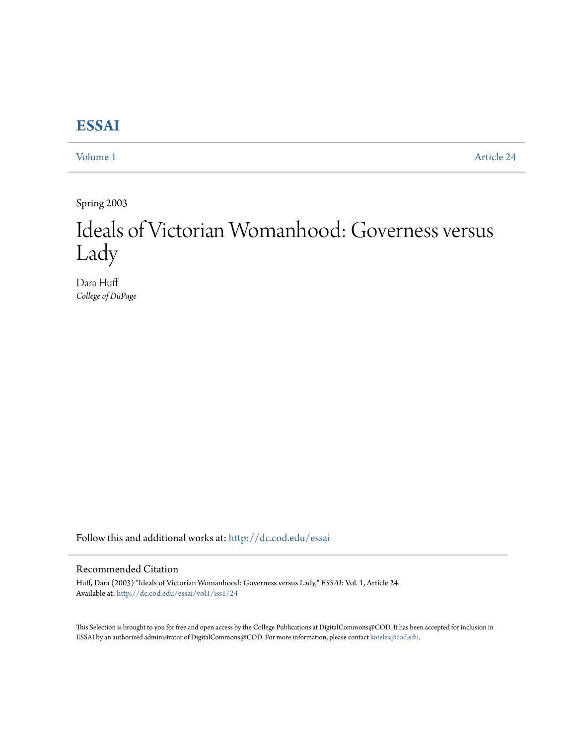## **[ESSAI](http://dc.cod.edu/essai?utm_source=dc.cod.edu%2Fessai%2Fvol1%2Fiss1%2F24&utm_medium=PDF&utm_campaign=PDFCoverPages)**

[Volume 1](http://dc.cod.edu/essai/vol1?utm_source=dc.cod.edu%2Fessai%2Fvol1%2Fiss1%2F24&utm_medium=PDF&utm_campaign=PDFCoverPages) [Article 24](http://dc.cod.edu/essai/vol1/iss1/24?utm_source=dc.cod.edu%2Fessai%2Fvol1%2Fiss1%2F24&utm_medium=PDF&utm_campaign=PDFCoverPages)

Spring 2003

# Ideals of Victorian Womanhood: Governess versus Lady

Dara Huff *College of DuPage*

Follow this and additional works at: [http://dc.cod.edu/essai](http://dc.cod.edu/essai?utm_source=dc.cod.edu%2Fessai%2Fvol1%2Fiss1%2F24&utm_medium=PDF&utm_campaign=PDFCoverPages)

### Recommended Citation

Huff, Dara (2003) "Ideals of Victorian Womanhood: Governess versus Lady," *ESSAI*: Vol. 1, Article 24. Available at: [http://dc.cod.edu/essai/vol1/iss1/24](http://dc.cod.edu/essai/vol1/iss1/24?utm_source=dc.cod.edu%2Fessai%2Fvol1%2Fiss1%2F24&utm_medium=PDF&utm_campaign=PDFCoverPages)

This Selection is brought to you for free and open access by the College Publications at DigitalCommons@COD. It has been accepted for inclusion in ESSAI by an authorized administrator of DigitalCommons@COD. For more information, please contact [koteles@cod.edu](mailto:koteles@cod.edu).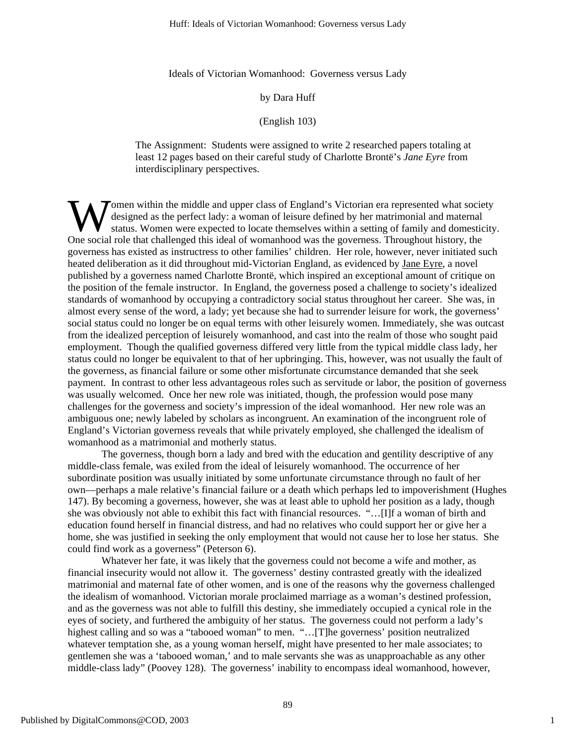Ideals of Victorian Womanhood: Governess versus Lady

#### by Dara Huff

#### (English 103)

The Assignment: Students were assigned to write 2 researched papers totaling at least 12 pages based on their careful study of Charlotte Brontë's *Jane Eyre* from interdisciplinary perspectives.

**T** omen within the middle and upper class of England's Victorian era represented what society designed as the perfect lady: a woman of leisure defined by her matrimonial and maternal status. Women were expected to locate themselves within a setting of family and domesticity. **W** designed as the perfect lady: a woman of leisure defined by her matrimonial and maternal status. Women were expected to locate themselves within a setting of family and domestic One social role that challenged this ide governess has existed as instructress to other families' children. Her role, however, never initiated such heated deliberation as it did throughout mid-Victorian England, as evidenced by Jane Eyre, a novel published by a governess named Charlotte Brontë, which inspired an exceptional amount of critique on the position of the female instructor. In England, the governess posed a challenge to society's idealized standards of womanhood by occupying a contradictory social status throughout her career. She was, in almost every sense of the word, a lady; yet because she had to surrender leisure for work, the governess' social status could no longer be on equal terms with other leisurely women. Immediately, she was outcast from the idealized perception of leisurely womanhood, and cast into the realm of those who sought paid employment. Though the qualified governess differed very little from the typical middle class lady, her status could no longer be equivalent to that of her upbringing. This, however, was not usually the fault of the governess, as financial failure or some other misfortunate circumstance demanded that she seek payment. In contrast to other less advantageous roles such as servitude or labor, the position of governess was usually welcomed. Once her new role was initiated, though, the profession would pose many challenges for the governess and society's impression of the ideal womanhood. Her new role was an ambiguous one; newly labeled by scholars as incongruent. An examination of the incongruent role of England's Victorian governess reveals that while privately employed, she challenged the idealism of womanhood as a matrimonial and motherly status.

The governess, though born a lady and bred with the education and gentility descriptive of any middle-class female, was exiled from the ideal of leisurely womanhood. The occurrence of her subordinate position was usually initiated by some unfortunate circumstance through no fault of her own—perhaps a male relative's financial failure or a death which perhaps led to impoverishment (Hughes 147). By becoming a governess, however, she was at least able to uphold her position as a lady, though she was obviously not able to exhibit this fact with financial resources. "…[I]f a woman of birth and education found herself in financial distress, and had no relatives who could support her or give her a home, she was justified in seeking the only employment that would not cause her to lose her status. She could find work as a governess" (Peterson 6).

 Whatever her fate, it was likely that the governess could not become a wife and mother, as financial insecurity would not allow it. The governess' destiny contrasted greatly with the idealized matrimonial and maternal fate of other women, and is one of the reasons why the governess challenged the idealism of womanhood. Victorian morale proclaimed marriage as a woman's destined profession, and as the governess was not able to fulfill this destiny, she immediately occupied a cynical role in the eyes of society, and furthered the ambiguity of her status. The governess could not perform a lady's highest calling and so was a "tabooed woman" to men. "...[T]he governess' position neutralized whatever temptation she, as a young woman herself, might have presented to her male associates; to gentlemen she was a 'tabooed woman,' and to male servants she was as unapproachable as any other middle-class lady" (Poovey 128). The governess' inability to encompass ideal womanhood, however,

1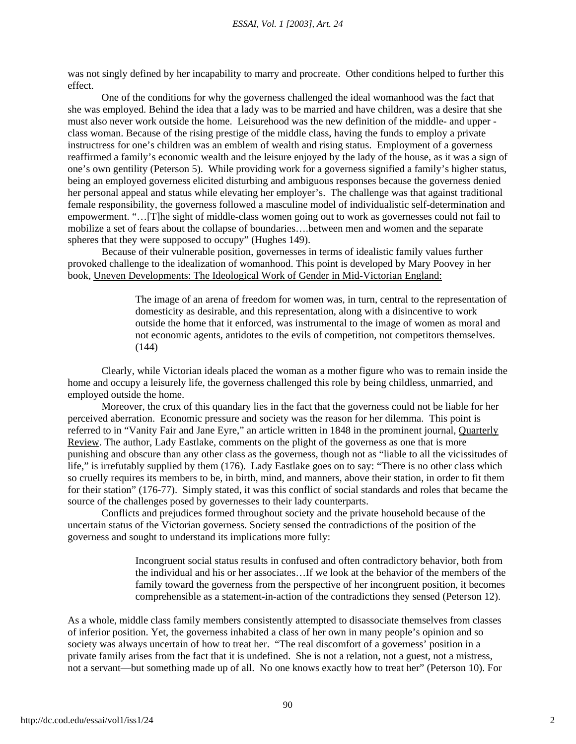was not singly defined by her incapability to marry and procreate. Other conditions helped to further this effect.

One of the conditions for why the governess challenged the ideal womanhood was the fact that she was employed. Behind the idea that a lady was to be married and have children, was a desire that she must also never work outside the home. Leisurehood was the new definition of the middle- and upper class woman. Because of the rising prestige of the middle class, having the funds to employ a private instructress for one's children was an emblem of wealth and rising status. Employment of a governess reaffirmed a family's economic wealth and the leisure enjoyed by the lady of the house, as it was a sign of one's own gentility (Peterson 5). While providing work for a governess signified a family's higher status, being an employed governess elicited disturbing and ambiguous responses because the governess denied her personal appeal and status while elevating her employer's. The challenge was that against traditional female responsibility, the governess followed a masculine model of individualistic self-determination and empowerment. "…[T]he sight of middle-class women going out to work as governesses could not fail to mobilize a set of fears about the collapse of boundaries….between men and women and the separate spheres that they were supposed to occupy" (Hughes 149).

Because of their vulnerable position, governesses in terms of idealistic family values further provoked challenge to the idealization of womanhood. This point is developed by Mary Poovey in her book, Uneven Developments: The Ideological Work of Gender in Mid-Victorian England:

> The image of an arena of freedom for women was, in turn, central to the representation of domesticity as desirable, and this representation, along with a disincentive to work outside the home that it enforced, was instrumental to the image of women as moral and not economic agents, antidotes to the evils of competition, not competitors themselves. (144)

Clearly, while Victorian ideals placed the woman as a mother figure who was to remain inside the home and occupy a leisurely life, the governess challenged this role by being childless, unmarried, and employed outside the home.

Moreover, the crux of this quandary lies in the fact that the governess could not be liable for her perceived aberration. Economic pressure and society was the reason for her dilemma. This point is referred to in "Vanity Fair and Jane Eyre," an article written in 1848 in the prominent journal, Quarterly Review. The author, Lady Eastlake, comments on the plight of the governess as one that is more punishing and obscure than any other class as the governess, though not as "liable to all the vicissitudes of life," is irrefutably supplied by them (176). Lady Eastlake goes on to say: "There is no other class which so cruelly requires its members to be, in birth, mind, and manners, above their station, in order to fit them for their station" (176-77). Simply stated, it was this conflict of social standards and roles that became the source of the challenges posed by governesses to their lady counterparts.

Conflicts and prejudices formed throughout society and the private household because of the uncertain status of the Victorian governess. Society sensed the contradictions of the position of the governess and sought to understand its implications more fully:

> Incongruent social status results in confused and often contradictory behavior, both from the individual and his or her associates…If we look at the behavior of the members of the family toward the governess from the perspective of her incongruent position, it becomes comprehensible as a statement-in-action of the contradictions they sensed (Peterson 12).

As a whole, middle class family members consistently attempted to disassociate themselves from classes of inferior position. Yet, the governess inhabited a class of her own in many people's opinion and so society was always uncertain of how to treat her. "The real discomfort of a governess' position in a private family arises from the fact that it is undefined. She is not a relation, not a guest, not a mistress, not a servant—but something made up of all. No one knows exactly how to treat her" (Peterson 10). For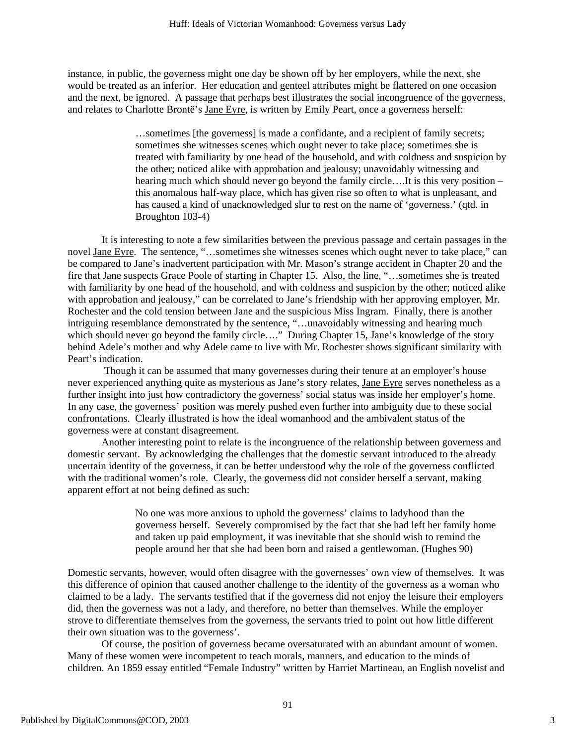instance, in public, the governess might one day be shown off by her employers, while the next, she would be treated as an inferior. Her education and genteel attributes might be flattered on one occasion and the next, be ignored. A passage that perhaps best illustrates the social incongruence of the governess, and relates to Charlotte Brontë's Jane Eyre, is written by Emily Peart, once a governess herself:

> …sometimes [the governess] is made a confidante, and a recipient of family secrets; sometimes she witnesses scenes which ought never to take place; sometimes she is treated with familiarity by one head of the household, and with coldness and suspicion by the other; noticed alike with approbation and jealousy; unavoidably witnessing and hearing much which should never go beyond the family circle....It is this very position – this anomalous half-way place, which has given rise so often to what is unpleasant, and has caused a kind of unacknowledged slur to rest on the name of 'governess.' (qtd. in Broughton 103-4)

It is interesting to note a few similarities between the previous passage and certain passages in the novel Jane Eyre. The sentence, "…sometimes she witnesses scenes which ought never to take place," can be compared to Jane's inadvertent participation with Mr. Mason's strange accident in Chapter 20 and the fire that Jane suspects Grace Poole of starting in Chapter 15. Also, the line, "…sometimes she is treated with familiarity by one head of the household, and with coldness and suspicion by the other; noticed alike with approbation and jealousy," can be correlated to Jane's friendship with her approving employer, Mr. Rochester and the cold tension between Jane and the suspicious Miss Ingram. Finally, there is another intriguing resemblance demonstrated by the sentence, "…unavoidably witnessing and hearing much which should never go beyond the family circle...." During Chapter 15, Jane's knowledge of the story behind Adele's mother and why Adele came to live with Mr. Rochester shows significant similarity with Peart's indication.

 Though it can be assumed that many governesses during their tenure at an employer's house never experienced anything quite as mysterious as Jane's story relates, Jane Eyre serves nonetheless as a further insight into just how contradictory the governess' social status was inside her employer's home. In any case, the governess' position was merely pushed even further into ambiguity due to these social confrontations. Clearly illustrated is how the ideal womanhood and the ambivalent status of the governess were at constant disagreement.

Another interesting point to relate is the incongruence of the relationship between governess and domestic servant. By acknowledging the challenges that the domestic servant introduced to the already uncertain identity of the governess, it can be better understood why the role of the governess conflicted with the traditional women's role. Clearly, the governess did not consider herself a servant, making apparent effort at not being defined as such:

> No one was more anxious to uphold the governess' claims to ladyhood than the governess herself. Severely compromised by the fact that she had left her family home and taken up paid employment, it was inevitable that she should wish to remind the people around her that she had been born and raised a gentlewoman. (Hughes 90)

Domestic servants, however, would often disagree with the governesses' own view of themselves. It was this difference of opinion that caused another challenge to the identity of the governess as a woman who claimed to be a lady. The servants testified that if the governess did not enjoy the leisure their employers did, then the governess was not a lady, and therefore, no better than themselves. While the employer strove to differentiate themselves from the governess, the servants tried to point out how little different their own situation was to the governess'.

 Of course, the position of governess became oversaturated with an abundant amount of women. Many of these women were incompetent to teach morals, manners, and education to the minds of children. An 1859 essay entitled "Female Industry" written by Harriet Martineau, an English novelist and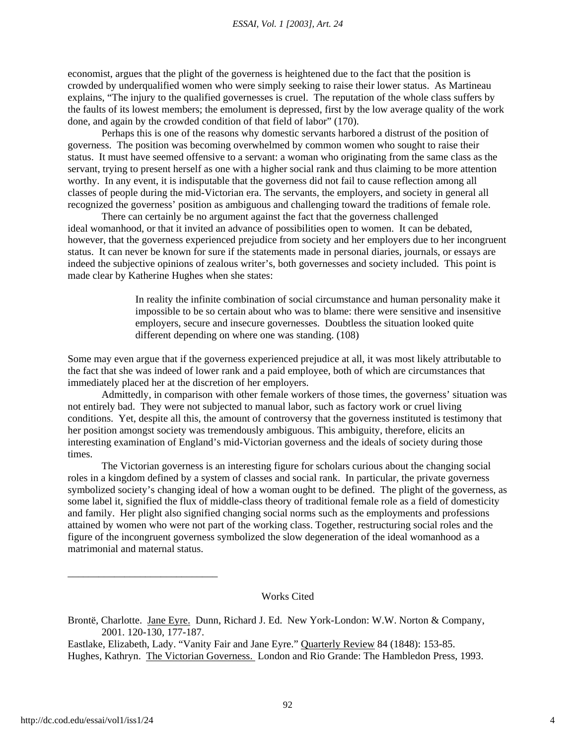economist, argues that the plight of the governess is heightened due to the fact that the position is crowded by underqualified women who were simply seeking to raise their lower status. As Martineau explains, "The injury to the qualified governesses is cruel. The reputation of the whole class suffers by the faults of its lowest members; the emolument is depressed, first by the low average quality of the work done, and again by the crowded condition of that field of labor" (170).

Perhaps this is one of the reasons why domestic servants harbored a distrust of the position of governess. The position was becoming overwhelmed by common women who sought to raise their status. It must have seemed offensive to a servant: a woman who originating from the same class as the servant, trying to present herself as one with a higher social rank and thus claiming to be more attention worthy. In any event, it is indisputable that the governess did not fail to cause reflection among all classes of people during the mid-Victorian era. The servants, the employers, and society in general all recognized the governess' position as ambiguous and challenging toward the traditions of female role.

 There can certainly be no argument against the fact that the governess challenged ideal womanhood, or that it invited an advance of possibilities open to women. It can be debated, however, that the governess experienced prejudice from society and her employers due to her incongruent status. It can never be known for sure if the statements made in personal diaries, journals, or essays are indeed the subjective opinions of zealous writer's, both governesses and society included. This point is made clear by Katherine Hughes when she states:

> In reality the infinite combination of social circumstance and human personality make it impossible to be so certain about who was to blame: there were sensitive and insensitive employers, secure and insecure governesses. Doubtless the situation looked quite different depending on where one was standing. (108)

Some may even argue that if the governess experienced prejudice at all, it was most likely attributable to the fact that she was indeed of lower rank and a paid employee, both of which are circumstances that immediately placed her at the discretion of her employers.

Admittedly, in comparison with other female workers of those times, the governess' situation was not entirely bad. They were not subjected to manual labor, such as factory work or cruel living conditions. Yet, despite all this, the amount of controversy that the governess instituted is testimony that her position amongst society was tremendously ambiguous. This ambiguity, therefore, elicits an interesting examination of England's mid-Victorian governess and the ideals of society during those times.

 The Victorian governess is an interesting figure for scholars curious about the changing social roles in a kingdom defined by a system of classes and social rank. In particular, the private governess symbolized society's changing ideal of how a woman ought to be defined. The plight of the governess, as some label it, signified the flux of middle-class theory of traditional female role as a field of domesticity and family. Her plight also signified changing social norms such as the employments and professions attained by women who were not part of the working class. Together, restructuring social roles and the figure of the incongruent governess symbolized the slow degeneration of the ideal womanhood as a matrimonial and maternal status.

#### Works Cited

Brontë, Charlotte. Jane Eyre. Dunn, Richard J. Ed. New York-London: W.W. Norton & Company, 2001. 120-130, 177-187.

Eastlake, Elizabeth, Lady. "Vanity Fair and Jane Eyre." Quarterly Review 84 (1848): 153-85. Hughes, Kathryn. The Victorian Governess. London and Rio Grande: The Hambledon Press, 1993.

\_\_\_\_\_\_\_\_\_\_\_\_\_\_\_\_\_\_\_\_\_\_\_\_\_\_\_\_\_